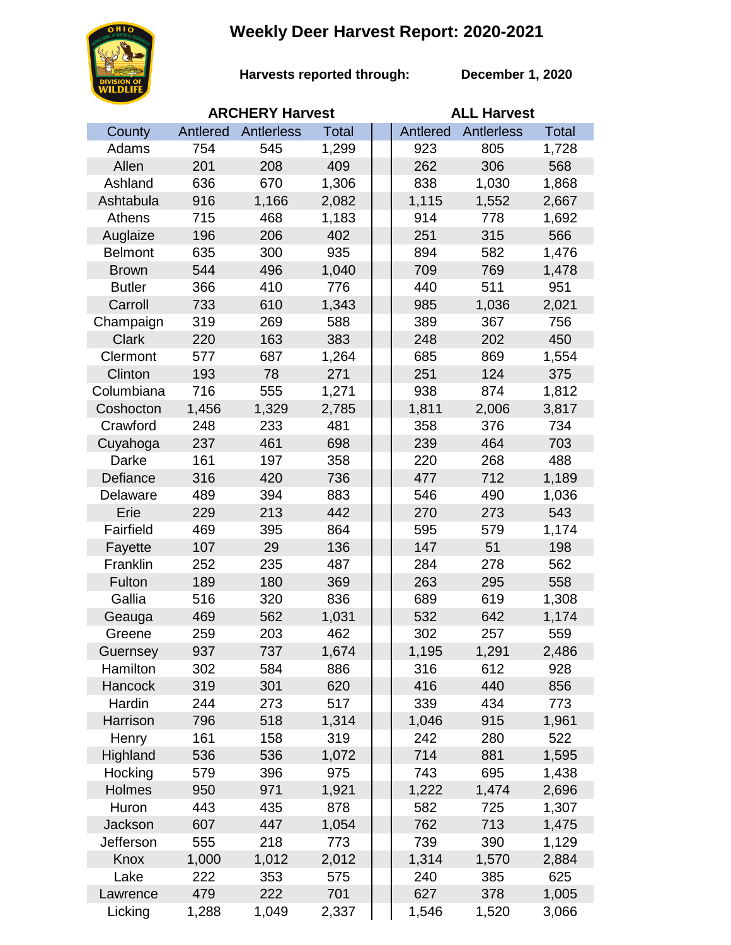## **Weekly Deer Harvest Report: 2020-2021**



**Harvests reported through:** 

**December 1, 2020**

|                |          | <b>ARCHERY Harvest</b> |              | <b>ALL Harvest</b> |            |              |  |
|----------------|----------|------------------------|--------------|--------------------|------------|--------------|--|
| County         | Antlered | Antlerless             | <b>Total</b> | Antlered           | Antlerless | <b>Total</b> |  |
| Adams          | 754      | 545                    | 1,299        | 923                | 805        | 1,728        |  |
| Allen          | 201      | 208                    | 409          | 262                | 306        | 568          |  |
| Ashland        | 636      | 670                    | 1,306        | 838                | 1,030      | 1,868        |  |
| Ashtabula      | 916      | 1,166                  | 2,082        | 1,115              | 1,552      | 2,667        |  |
| Athens         | 715      | 468                    | 1,183        | 914                | 778        | 1,692        |  |
| Auglaize       | 196      | 206                    | 402          | 251                | 315        | 566          |  |
| <b>Belmont</b> | 635      | 300                    | 935          | 894                | 582        | 1,476        |  |
| <b>Brown</b>   | 544      | 496                    | 1,040        | 709                | 769        | 1,478        |  |
| <b>Butler</b>  | 366      | 410                    | 776          | 440                | 511        | 951          |  |
| Carroll        | 733      | 610                    | 1,343        | 985                | 1,036      | 2,021        |  |
| Champaign      | 319      | 269                    | 588          | 389                | 367        | 756          |  |
| <b>Clark</b>   | 220      | 163                    | 383          | 248                | 202        | 450          |  |
| Clermont       | 577      | 687                    | 1,264        | 685                | 869        | 1,554        |  |
| Clinton        | 193      | 78                     | 271          | 251                | 124        | 375          |  |
| Columbiana     | 716      | 555                    | 1,271        | 938                | 874        | 1,812        |  |
| Coshocton      | 1,456    | 1,329                  | 2,785        | 1,811              | 2,006      | 3,817        |  |
| Crawford       | 248      | 233                    | 481          | 358                | 376        | 734          |  |
| Cuyahoga       | 237      | 461                    | 698          | 239                | 464        | 703          |  |
| Darke          | 161      | 197                    | 358          | 220                | 268        | 488          |  |
| Defiance       | 316      | 420                    | 736          | 477                | 712        | 1,189        |  |
| Delaware       | 489      | 394                    | 883          | 546                | 490        | 1,036        |  |
| Erie           | 229      | 213                    | 442          | 270                | 273        | 543          |  |
| Fairfield      | 469      | 395                    | 864          | 595                | 579        | 1,174        |  |
| Fayette        | 107      | 29                     | 136          | 147                | 51         | 198          |  |
| Franklin       | 252      | 235                    | 487          | 284                | 278        | 562          |  |
| Fulton         | 189      | 180                    | 369          | 263                | 295        | 558          |  |
| Gallia         | 516      | 320                    | 836          | 689                | 619        | 1,308        |  |
| Geauga         | 469      | 562                    | 1,031        | 532                | 642        | 1,174        |  |
| Greene         | 259      | 203                    | 462          | 302                | 257        | 559          |  |
| Guernsey       | 937      | 737                    | 1,674        | 1,195              | 1,291      | 2,486        |  |
| Hamilton       | 302      | 584                    | 886          | 316                | 612        | 928          |  |
| <b>Hancock</b> | 319      | 301                    | 620          | 416                | 440        | 856          |  |
| Hardin         | 244      | 273                    | 517          | 339                | 434        | 773          |  |
| Harrison       | 796      | 518                    | 1,314        | 1,046              | 915        | 1,961        |  |
| Henry          | 161      | 158                    | 319          | 242                | 280        | 522          |  |
| Highland       | 536      | 536                    | 1,072        | 714                | 881        | 1,595        |  |
| Hocking        | 579      | 396                    | 975          | 743                | 695        | 1,438        |  |
| Holmes         | 950      | 971                    | 1,921        | 1,222              | 1,474      | 2,696        |  |
| Huron          | 443      | 435                    | 878          | 582                | 725        | 1,307        |  |
| Jackson        | 607      | 447                    | 1,054        | 762                | 713        | 1,475        |  |
| Jefferson      | 555      | 218                    | 773          | 739                | 390        | 1,129        |  |
| Knox           | 1,000    | 1,012                  | 2,012        | 1,314              | 1,570      | 2,884        |  |
| Lake           | 222      | 353                    | 575          | 240                | 385        | 625          |  |
| Lawrence       | 479      | 222                    | 701          | 627                | 378        | 1,005        |  |
| Licking        | 1,288    | 1,049                  | 2,337        | 1,546              | 1,520      | 3,066        |  |